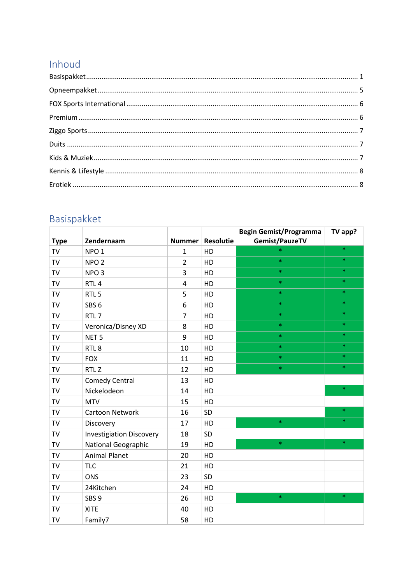### Inhoud

### <span id="page-0-0"></span>Basispakket

|             |                                 |                |                  | <b>Begin Gemist/Programma</b> | TV app? |
|-------------|---------------------------------|----------------|------------------|-------------------------------|---------|
| <b>Type</b> | Zendernaam                      | <b>Nummer</b>  | <b>Resolutie</b> | Gemist/PauzeTV                |         |
| <b>TV</b>   | NPO <sub>1</sub>                | $\mathbf{1}$   | HD               | $\ast$                        | $\ast$  |
| <b>TV</b>   | NPO <sub>2</sub>                | $\overline{2}$ | HD               | $\ast$                        | $\ast$  |
| TV          | NPO <sub>3</sub>                | 3              | HD               | $\ast$                        | $\ast$  |
| <b>TV</b>   | RTL <sub>4</sub>                | 4              | HD               | $\ast$                        | $\ast$  |
| <b>TV</b>   | RTL <sub>5</sub>                | 5              | HD               | $\ast$                        | $\ast$  |
| TV          | SBS <sub>6</sub>                | 6              | HD               | $\ast$                        | $\ast$  |
| TV          | RTL <sub>7</sub>                | $\overline{7}$ | HD               | $\ast$                        | $\ast$  |
| <b>TV</b>   | Veronica/Disney XD              | 8              | HD               | $\ast$                        | $\ast$  |
| <b>TV</b>   | NET <sub>5</sub>                | 9              | HD               | $\ast$                        | $\ast$  |
| TV          | RTL <sub>8</sub>                | 10             | HD               | $\ast$                        | $\ast$  |
| TV          | <b>FOX</b>                      | 11             | HD               | $\ast$                        | $\ast$  |
| TV          | RTL <sub>Z</sub>                | 12             | HD               | $\ast$                        | $\ast$  |
| <b>TV</b>   | <b>Comedy Central</b>           | 13             | HD               |                               |         |
| TV          | Nickelodeon                     | 14             | HD               |                               | $\ast$  |
| TV          | <b>MTV</b>                      | 15             | HD               |                               |         |
| <b>TV</b>   | Cartoon Network                 | 16             | SD               |                               | $\ast$  |
| <b>TV</b>   | Discovery                       | 17             | HD               | $\ast$                        | $\ast$  |
| TV          | <b>Investigiation Discovery</b> | 18             | SD               |                               |         |
| TV          | <b>National Geographic</b>      | 19             | HD               | $\ast$                        | $\ast$  |
| <b>TV</b>   | <b>Animal Planet</b>            | 20             | HD               |                               |         |
| TV          | <b>TLC</b>                      | 21             | HD               |                               |         |
| TV          | <b>ONS</b>                      | 23             | SD               |                               |         |
| TV          | 24Kitchen                       | 24             | HD               |                               |         |
| <b>TV</b>   | SBS <sub>9</sub>                | 26             | HD               | $\ast$                        | $\ast$  |
| TV          | <b>XITE</b>                     | 40             | HD               |                               |         |
| TV          | Family7                         | 58             | HD               |                               |         |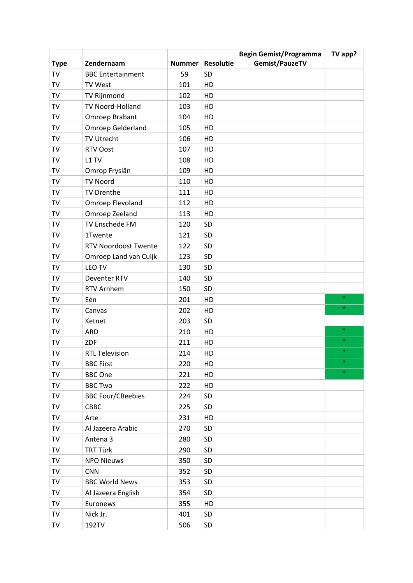|             |                             |               |                  | <b>Begin Gemist/Programma</b> | TV app? |
|-------------|-----------------------------|---------------|------------------|-------------------------------|---------|
| <b>Type</b> | Zendernaam                  | <b>Nummer</b> | <b>Resolutie</b> | Gemist/PauzeTV                |         |
| TV          | <b>BBC</b> Entertainment    | 59            | SD               |                               |         |
| TV          | TV West                     | 101           | HD               |                               |         |
| TV          | TV Rijnmond                 | 102           | HD               |                               |         |
| TV          | TV Noord-Holland            | 103           | HD               |                               |         |
| TV          | Omroep Brabant              | 104           | HD               |                               |         |
| TV          | <b>Omroep Gelderland</b>    | 105           | HD               |                               |         |
| TV          | <b>TV Utrecht</b>           | 106           | HD               |                               |         |
| TV          | <b>RTV Oost</b>             | 107           | HD               |                               |         |
| TV          | L1 TV                       | 108           | HD               |                               |         |
| TV          | Omrop Fryslân               | 109           | HD               |                               |         |
| TV          | <b>TV Noord</b>             | 110           | HD               |                               |         |
| TV          | <b>TV Drenthe</b>           | 111           | HD               |                               |         |
| TV          | Omroep Flevoland            | 112           | HD               |                               |         |
| TV          | Omroep Zeeland              | 113           | HD               |                               |         |
| TV          | TV Enschede FM              | 120           | SD               |                               |         |
| TV          | 1Twente                     | 121           | SD               |                               |         |
| TV          | <b>RTV Noordoost Twente</b> | 122           | <b>SD</b>        |                               |         |
| TV          | Omroep Land van Cuijk       | 123           | SD               |                               |         |
| TV          | LEO TV                      | 130           | SD               |                               |         |
| TV          | Deventer RTV                | 140           | SD               |                               |         |
| TV          | RTV Arnhem                  | 150           | SD               |                               |         |
| TV          | Eén                         | 201           | HD               |                               | $\ast$  |
| TV          | Canvas                      | 202           | HD               |                               | $\ast$  |
| TV          | Ketnet                      | 203           | SD               |                               |         |
| TV          | <b>ARD</b>                  | 210           | HD               |                               | $\ast$  |
| TV          | <b>ZDF</b>                  | 211           | HD               |                               | $\ast$  |
| TV          | <b>RTL Television</b>       | 214           | HD               |                               | $\ast$  |
| TV          | <b>BBC First</b>            | 220           | HD               |                               |         |
| TV          | <b>BBC</b> One              | 221           | HD               |                               | $\ast$  |
| TV          | <b>BBC Two</b>              | 222           | HD               |                               |         |
| TV          | <b>BBC Four/CBeebies</b>    | 224           | <b>SD</b>        |                               |         |
| TV          | CBBC                        | 225           | SD               |                               |         |
| TV          | Arte                        | 231           | HD               |                               |         |
| TV          | Al Jazeera Arabic           | 270           | SD               |                               |         |
| TV          | Antena 3                    | 280           | SD               |                               |         |
| TV          | <b>TRT Türk</b>             | 290           | <b>SD</b>        |                               |         |
| TV          | <b>NPO Nieuws</b>           | 350           | SD               |                               |         |
| TV          | <b>CNN</b>                  | 352           | SD               |                               |         |
| TV          | <b>BBC World News</b>       | 353           | SD               |                               |         |
| TV          | Al Jazeera English          | 354           | SD               |                               |         |
| TV          | Euronews                    | 355           | HD               |                               |         |
| TV          | Nick Jr.                    | 401           | SD               |                               |         |
| TV          | 192TV                       | 506           | <b>SD</b>        |                               |         |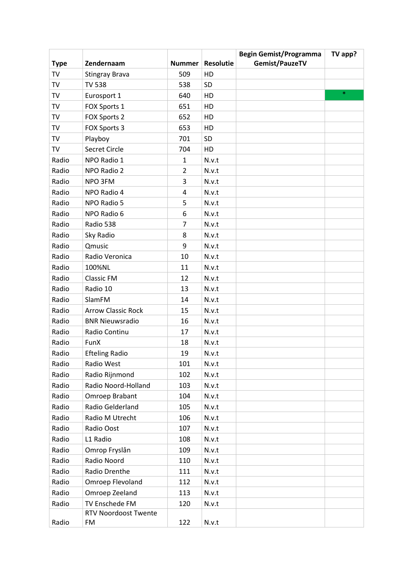|             |                             |                |                  | <b>Begin Gemist/Programma</b> | TV app? |
|-------------|-----------------------------|----------------|------------------|-------------------------------|---------|
| <b>Type</b> | Zendernaam                  | <b>Nummer</b>  | <b>Resolutie</b> | Gemist/PauzeTV                |         |
| TV          | <b>Stingray Brava</b>       | 509            | HD               |                               |         |
| TV          | <b>TV 538</b>               | 538            | <b>SD</b>        |                               |         |
| TV          | Eurosport 1                 | 640            | HD               |                               | $\ast$  |
| TV          | FOX Sports 1                | 651            | HD               |                               |         |
| TV          | FOX Sports 2                | 652            | HD               |                               |         |
| TV          | FOX Sports 3                | 653            | HD               |                               |         |
| TV          | Playboy                     | 701            | SD               |                               |         |
| TV          | Secret Circle               | 704            | HD               |                               |         |
| Radio       | NPO Radio 1                 | 1              | N.v.t            |                               |         |
| Radio       | NPO Radio 2                 | $\overline{2}$ | N.v.t            |                               |         |
| Radio       | NPO 3FM                     | 3              | N.v.t            |                               |         |
| Radio       | NPO Radio 4                 | 4              | N.v.t            |                               |         |
| Radio       | NPO Radio 5                 | 5              | N.v.t            |                               |         |
| Radio       | NPO Radio 6                 | 6              | N.v.t            |                               |         |
| Radio       | Radio 538                   | 7              | N.v.t            |                               |         |
| Radio       | Sky Radio                   | 8              | N.v.t            |                               |         |
| Radio       | Qmusic                      | 9              | N.v.t            |                               |         |
| Radio       | Radio Veronica              | 10             | N.v.t            |                               |         |
| Radio       | 100%NL                      | 11             | N.v.t            |                               |         |
| Radio       | <b>Classic FM</b>           | 12             | N.v.t            |                               |         |
| Radio       | Radio 10                    | 13             | N.v.t            |                               |         |
| Radio       | SlamFM                      | 14             | N.v.t            |                               |         |
| Radio       | <b>Arrow Classic Rock</b>   | 15             | N.v.t            |                               |         |
| Radio       | <b>BNR Nieuwsradio</b>      | 16             | N.v.t            |                               |         |
| Radio       | Radio Continu               | 17             | N.v.t            |                               |         |
| Radio       | FunX                        | 18             | N.v.t            |                               |         |
| Radio       | <b>Efteling Radio</b>       | 19             | N.v.t            |                               |         |
| Radio       | Radio West                  | 101            | N.v.t            |                               |         |
| Radio       | Radio Rijnmond              | 102            | N.v.t            |                               |         |
| Radio       | Radio Noord-Holland         | 103            | N.v.t            |                               |         |
| Radio       | Omroep Brabant              | 104            | N.v.t            |                               |         |
| Radio       | Radio Gelderland            | 105            | N.v.t            |                               |         |
| Radio       | Radio M Utrecht             | 106            | N.v.t            |                               |         |
| Radio       | Radio Oost                  | 107            | N.v.t            |                               |         |
| Radio       | L1 Radio                    | 108            | N.v.t            |                               |         |
| Radio       | Omrop Fryslân               | 109            | N.v.t            |                               |         |
| Radio       | Radio Noord                 | 110            | N.v.t            |                               |         |
| Radio       | Radio Drenthe               | 111            | N.v.t            |                               |         |
| Radio       | Omroep Flevoland            | 112            | N.v.t            |                               |         |
| Radio       | Omroep Zeeland              | 113            | N.v.t            |                               |         |
| Radio       | TV Enschede FM              | 120            | N.v.t            |                               |         |
|             | <b>RTV Noordoost Twente</b> |                |                  |                               |         |
| Radio       | FM                          | 122            | N.v.t            |                               |         |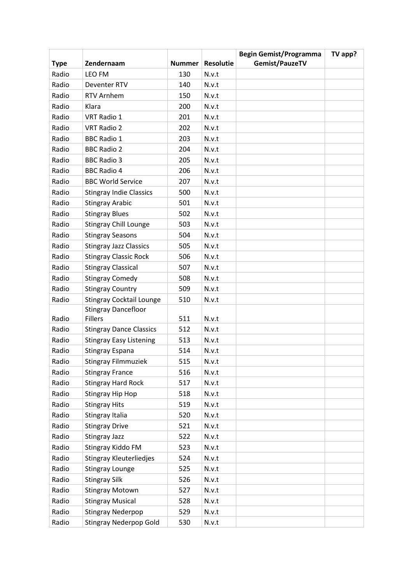|             |                                 |               |                  | <b>Begin Gemist/Programma</b> | TV app? |
|-------------|---------------------------------|---------------|------------------|-------------------------------|---------|
| <b>Type</b> | Zendernaam                      | <b>Nummer</b> | <b>Resolutie</b> | Gemist/PauzeTV                |         |
| Radio       | LEO FM                          | 130           | N.v.t            |                               |         |
| Radio       | Deventer RTV                    | 140           | N.v.t            |                               |         |
| Radio       | <b>RTV Arnhem</b>               | 150           | N.v.t            |                               |         |
| Radio       | Klara                           | 200           | N.v.t            |                               |         |
| Radio       | VRT Radio 1                     | 201           | N.v.t            |                               |         |
| Radio       | <b>VRT Radio 2</b>              | 202           | N.v.t            |                               |         |
| Radio       | <b>BBC Radio 1</b>              | 203           | N.v.t            |                               |         |
| Radio       | <b>BBC Radio 2</b>              | 204           | N.v.t            |                               |         |
| Radio       | <b>BBC Radio 3</b>              | 205           | N.v.t            |                               |         |
| Radio       | <b>BBC Radio 4</b>              | 206           | N.v.t            |                               |         |
| Radio       | <b>BBC World Service</b>        | 207           | N.v.t            |                               |         |
| Radio       | <b>Stingray Indie Classics</b>  | 500           | N.v.t            |                               |         |
| Radio       | <b>Stingray Arabic</b>          | 501           | N.v.t            |                               |         |
| Radio       | <b>Stingray Blues</b>           | 502           | N.v.t            |                               |         |
| Radio       | <b>Stingray Chill Lounge</b>    | 503           | N.v.t            |                               |         |
| Radio       | <b>Stingray Seasons</b>         | 504           | N.v.t            |                               |         |
| Radio       | <b>Stingray Jazz Classics</b>   | 505           | N.v.t            |                               |         |
| Radio       | <b>Stingray Classic Rock</b>    | 506           | N.v.t            |                               |         |
| Radio       | <b>Stingray Classical</b>       | 507           | N.v.t            |                               |         |
| Radio       | <b>Stingray Comedy</b>          | 508           | N.v.t            |                               |         |
| Radio       | <b>Stingray Country</b>         | 509           | N.v.t            |                               |         |
| Radio       | <b>Stingray Cocktail Lounge</b> | 510           | N.v.t            |                               |         |
|             | <b>Stingray Dancefloor</b>      |               |                  |                               |         |
| Radio       | <b>Fillers</b>                  | 511           | N.v.t            |                               |         |
| Radio       | <b>Stingray Dance Classics</b>  | 512           | N.v.t            |                               |         |
| Radio       | <b>Stingray Easy Listening</b>  | 513           | N.v.t            |                               |         |
| Radio       | <b>Stingray Espana</b>          | 514           | N.v.t            |                               |         |
| Radio       | <b>Stingray Filmmuziek</b>      | 515           | N.v.t            |                               |         |
| Radio       | <b>Stingray France</b>          | 516           | N.v.t            |                               |         |
| Radio       | <b>Stingray Hard Rock</b>       | 517           | N.v.t            |                               |         |
| Radio       | Stingray Hip Hop                | 518           | N.v.t            |                               |         |
| Radio       | <b>Stingray Hits</b>            | 519           | N.v.t            |                               |         |
| Radio       | Stingray Italia                 | 520           | N.v.t            |                               |         |
| Radio       | <b>Stingray Drive</b>           | 521           | N.v.t            |                               |         |
| Radio       | <b>Stingray Jazz</b>            | 522           | N.v.t            |                               |         |
| Radio       | Stingray Kiddo FM               | 523           | N.v.t            |                               |         |
| Radio       | <b>Stingray Kleuterliedjes</b>  | 524           | N.v.t            |                               |         |
| Radio       | <b>Stingray Lounge</b>          | 525           | N.v.t            |                               |         |
| Radio       | <b>Stingray Silk</b>            | 526           | N.v.t            |                               |         |
| Radio       | <b>Stingray Motown</b>          | 527           | N.v.t            |                               |         |
| Radio       | <b>Stingray Musical</b>         | 528           | N.v.t            |                               |         |
| Radio       | <b>Stingray Nederpop</b>        | 529           | N.v.t            |                               |         |
| Radio       | <b>Stingray Nederpop Gold</b>   | 530           | N.v.t            |                               |         |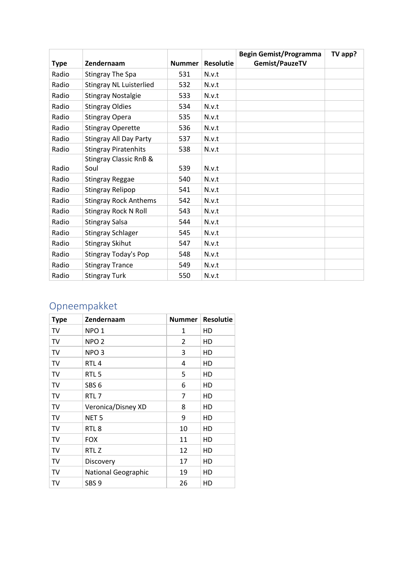|             |                                   |               |                  | <b>Begin Gemist/Programma</b> | TV app? |
|-------------|-----------------------------------|---------------|------------------|-------------------------------|---------|
| <b>Type</b> | Zendernaam                        | <b>Nummer</b> | <b>Resolutie</b> | Gemist/PauzeTV                |         |
| Radio       | <b>Stingray The Spa</b>           | 531           | N.v.t            |                               |         |
| Radio       | <b>Stingray NL Luisterlied</b>    | 532           | N.v.t            |                               |         |
| Radio       | <b>Stingray Nostalgie</b>         | 533           | N.v.t            |                               |         |
| Radio       | <b>Stingray Oldies</b>            | 534           | N.v.t            |                               |         |
| Radio       | <b>Stingray Opera</b>             | 535           | N.v.t            |                               |         |
| Radio       | <b>Stingray Operette</b>          | 536           | N.v.t            |                               |         |
| Radio       | <b>Stingray All Day Party</b>     | 537           | N.v.t            |                               |         |
| Radio       | <b>Stingray Piratenhits</b>       | 538           | N.v.t            |                               |         |
|             | <b>Stingray Classic RnB &amp;</b> |               |                  |                               |         |
| Radio       | Soul                              | 539           | N.v.t            |                               |         |
| Radio       | <b>Stingray Reggae</b>            | 540           | N.v.t            |                               |         |
| Radio       | <b>Stingray Relipop</b>           | 541           | N.v.t            |                               |         |
| Radio       | <b>Stingray Rock Anthems</b>      | 542           | N.v.t            |                               |         |
| Radio       | <b>Stingray Rock N Roll</b>       | 543           | N.v.t            |                               |         |
| Radio       | <b>Stingray Salsa</b>             | 544           | N.v.t            |                               |         |
| Radio       | <b>Stingray Schlager</b>          | 545           | N.v.t            |                               |         |
| Radio       | <b>Stingray Skihut</b>            | 547           | N.v.t            |                               |         |
| Radio       | Stingray Today's Pop              | 548           | N.v.t            |                               |         |
| Radio       | <b>Stingray Trance</b>            | 549           | N.v.t            |                               |         |
| Radio       | <b>Stingray Turk</b>              | 550           | N.v.t            |                               |         |

# <span id="page-4-0"></span>Opneempakket

| <b>Type</b> | Zendernaam                 | <b>Nummer</b> | <b>Resolutie</b> |
|-------------|----------------------------|---------------|------------------|
| TV          | NPO <sub>1</sub>           | 1             | HD               |
| TV          | NPO <sub>2</sub>           | 2             | HD               |
| TV          | NPO <sub>3</sub>           | 3             | HD               |
| TV          | RTL <sub>4</sub>           | 4             | HD               |
| TV          | RTL <sub>5</sub>           | 5             | HD               |
| TV          | SBS <sub>6</sub>           | 6             | HD               |
| TV          | RTL <sub>7</sub>           | 7             | HD               |
| TV          | Veronica/Disney XD         | 8             | HD               |
| TV          | NET <sub>5</sub>           | 9             | HD               |
| TV          | RTL 8                      | 10            | HD               |
| TV          | <b>FOX</b>                 | 11            | HD               |
| TV          | RTL Z                      | 12            | HD               |
| TV          | Discovery                  | 17            | HD               |
| TV          | <b>National Geographic</b> | 19            | HD               |
| TV          | SBS <sub>9</sub>           | 26            | HD               |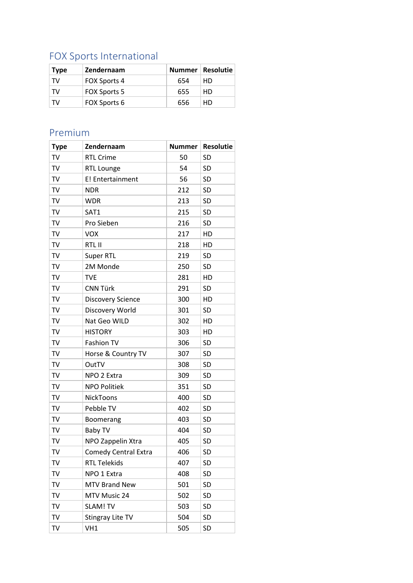# <span id="page-5-0"></span>FOX Sports International

| <b>Type</b> | Zendernaam          |     | Nummer   Resolutie |
|-------------|---------------------|-----|--------------------|
| TV          | <b>FOX Sports 4</b> | 654 | HD.                |
| TV          | <b>FOX Sports 5</b> | 655 | HD                 |
| T۷          | FOX Sports 6        | 656 | HD                 |

#### <span id="page-5-1"></span>Premium

| <b>Type</b> | Zendernaam               | <b>Nummer</b> | <b>Resolutie</b> |
|-------------|--------------------------|---------------|------------------|
| TV          | <b>RTL Crime</b>         | 50            | <b>SD</b>        |
| TV          | <b>RTL Lounge</b>        | 54            | SD               |
| TV          | E! Entertainment         | 56            | <b>SD</b>        |
| TV          | <b>NDR</b>               | 212           | <b>SD</b>        |
| TV          | <b>WDR</b>               | 213           | <b>SD</b>        |
| TV          | SAT1                     | 215           | <b>SD</b>        |
| TV          | Pro Sieben               | 216           | <b>SD</b>        |
| TV          | <b>VOX</b>               | 217           | HD               |
| TV          | RTL II                   | 218           | HD               |
| TV          | <b>Super RTL</b>         | 219           | <b>SD</b>        |
| TV          | 2M Monde                 | 250           | <b>SD</b>        |
| TV          | <b>TVE</b>               | 281           | HD               |
| TV          | <b>CNN Türk</b>          | 291           | <b>SD</b>        |
| TV          | <b>Discovery Science</b> | 300           | HD               |
| TV          | Discovery World          | 301           | <b>SD</b>        |
| TV          | Nat Geo WILD             | 302           | HD               |
| TV          | <b>HISTORY</b>           | 303           | HD               |
| TV          | Fashion TV               | 306           | <b>SD</b>        |
| TV          | Horse & Country TV       | 307           | SD               |
| TV          | OutTV                    | 308           | <b>SD</b>        |
| TV          | NPO 2 Extra              | 309           | <b>SD</b>        |
| TV          | <b>NPO Politiek</b>      | 351           | <b>SD</b>        |
| TV          | NickToons                | 400           | <b>SD</b>        |
| TV          | Pebble TV                | 402           | <b>SD</b>        |
| TV          | Boomerang                | 403           | <b>SD</b>        |
| TV          | <b>Baby TV</b>           | 404           | <b>SD</b>        |
| TV          | NPO Zappelin Xtra        | 405           | SD               |
| TV          | Comedy Central Extra     | 406           | <b>SD</b>        |
| TV          | <b>RTL Telekids</b>      | 407           | SD               |
| TV          | NPO 1 Extra              | 408           | SD               |
| TV          | <b>MTV Brand New</b>     | 501           | <b>SD</b>        |
| TV          | MTV Music 24             | 502           | SD               |
| TV          | SLAM! TV                 | 503           | SD               |
| TV          | <b>Stingray Lite TV</b>  | 504           | SD               |
| TV          | VH1                      | 505           | SD               |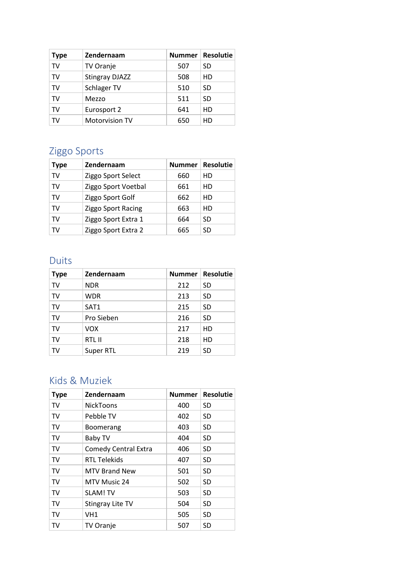| <b>Type</b> | Zendernaam            |     | Nummer   Resolutie |
|-------------|-----------------------|-----|--------------------|
| TV          | TV Oranje             | 507 | SD                 |
| TV          | <b>Stingray DJAZZ</b> | 508 | HD                 |
| TV          | Schlager TV           | 510 | SD                 |
| TV          | Mezzo                 | 511 | <b>SD</b>          |
| TV          | Eurosport 2           | 641 | HD                 |
| TV          | <b>Motorvision TV</b> | 650 | HD                 |

# <span id="page-6-0"></span>Ziggo Sports

| <b>Type</b> | Zendernaam          | <b>Nummer</b> | <b>Resolutie</b> |
|-------------|---------------------|---------------|------------------|
| TV          | Ziggo Sport Select  | 660           | НD               |
| TV          | Ziggo Sport Voetbal | 661           | HD               |
| TV          | Ziggo Sport Golf    | 662           | HD               |
| TV          | Ziggo Sport Racing  | 663           | HD               |
| TV          | Ziggo Sport Extra 1 | 664           | SD               |
| TV          | Ziggo Sport Extra 2 | 665           | SD               |

#### <span id="page-6-1"></span>Duits

| <b>Type</b> | Zendernaam |     | Nummer   Resolutie |
|-------------|------------|-----|--------------------|
| <b>TV</b>   | <b>NDR</b> | 212 | <b>SD</b>          |
| TV          | <b>WDR</b> | 213 | <b>SD</b>          |
| TV          | SAT1       | 215 | <b>SD</b>          |
| TV          | Pro Sieben | 216 | <b>SD</b>          |
| TV          | <b>VOX</b> | 217 | HD                 |
| TV          | RTL II     | 218 | HD                 |
| TV          | Super RTL  | 219 | <b>SD</b>          |

#### <span id="page-6-2"></span>Kids & Muziek

| <b>Type</b> | Zendernaam                  | <b>Nummer</b> | <b>Resolutie</b> |
|-------------|-----------------------------|---------------|------------------|
| TV          | <b>NickToons</b>            | 400           | <b>SD</b>        |
| TV          | Pebble TV                   | 402           | <b>SD</b>        |
| TV          | <b>Boomerang</b>            | 403           | <b>SD</b>        |
| TV          | Baby TV                     | 404           | <b>SD</b>        |
| TV          | <b>Comedy Central Extra</b> | 406           | <b>SD</b>        |
| TV          | <b>RTL Telekids</b>         | 407           | <b>SD</b>        |
| TV          | <b>MTV Brand New</b>        | 501           | <b>SD</b>        |
| TV          | MTV Music 24                | 502           | <b>SD</b>        |
| TV          | <b>SLAM! TV</b>             | 503           | <b>SD</b>        |
| TV          | Stingray Lite TV            | 504           | <b>SD</b>        |
| TV          | VH1                         | 505           | <b>SD</b>        |
| TV          | <b>TV Oranje</b>            | 507           | <b>SD</b>        |